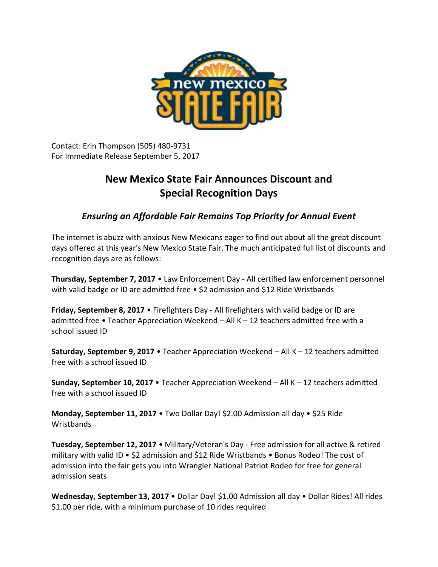

Contact: Erin Thompson (505) 480-9731 For Immediate Release September 5, 2017

## **New Mexico State Fair Announces Discount and Special Recognition Days**

*Ensuring an Affordable Fair Remains Top Priority for Annual Event*

The internet is abuzz with anxious New Mexicans eager to find out about all the great discount days offered at this year's New Mexico State Fair. The much anticipated full list of discounts and recognition days are as follows:

**Thursday, September 7, 2017** • Law Enforcement Day - All certified law enforcement personnel with valid badge or ID are admitted free • \$2 admission and \$12 Ride Wristbands

**Friday, September 8, 2017** • Firefighters Day - All firefighters with valid badge or ID are admitted free • Teacher Appreciation Weekend – All K – 12 teachers admitted free with a school issued ID

**Saturday, September 9, 2017** • Teacher Appreciation Weekend – All K – 12 teachers admitted free with a school issued ID

**Sunday, September 10, 2017** • Teacher Appreciation Weekend – All K – 12 teachers admitted free with a school issued ID

**Monday, September 11, 2017** • Two Dollar Day! \$2.00 Admission all day • \$25 Ride **Wristbands** 

**Tuesday, September 12, 2017** • Military/Veteran's Day - Free admission for all active & retired military with valid ID • \$2 admission and \$12 Ride Wristbands • Bonus Rodeo! The cost of admission into the fair gets you into Wrangler National Patriot Rodeo for free for general admission seats

**Wednesday, September 13, 2017** • Dollar Day! \$1.00 Admission all day • Dollar Rides! All rides \$1.00 per ride, with a minimum purchase of 10 rides required